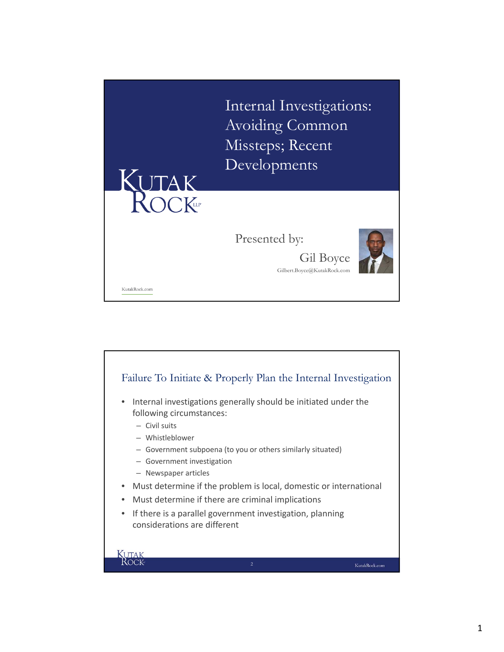

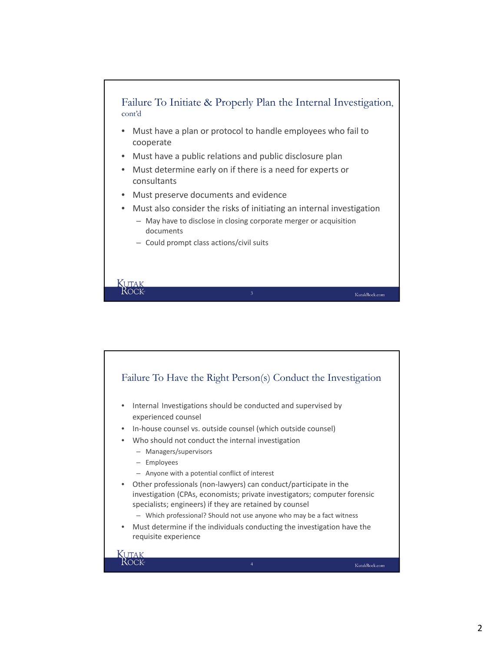

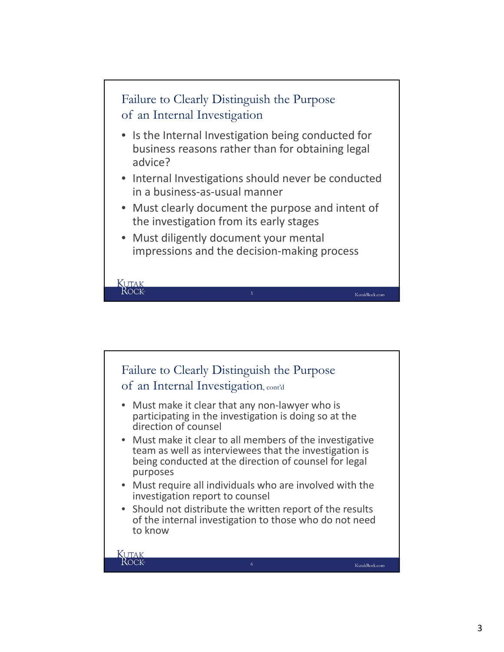

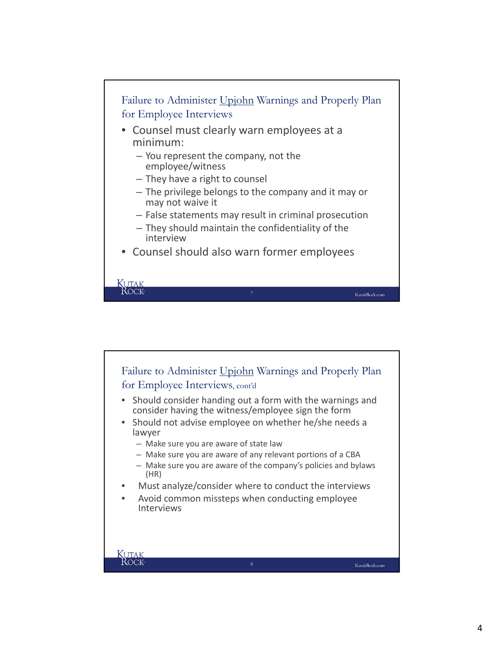

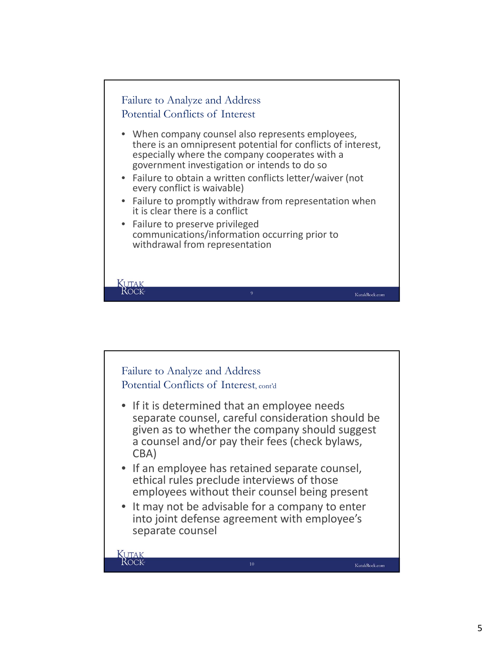

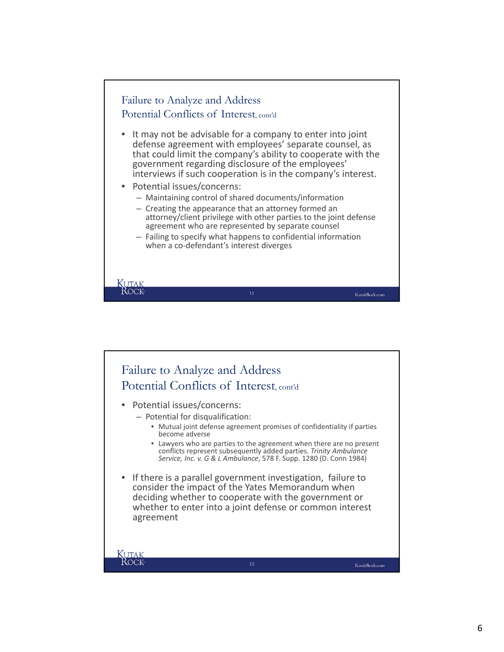

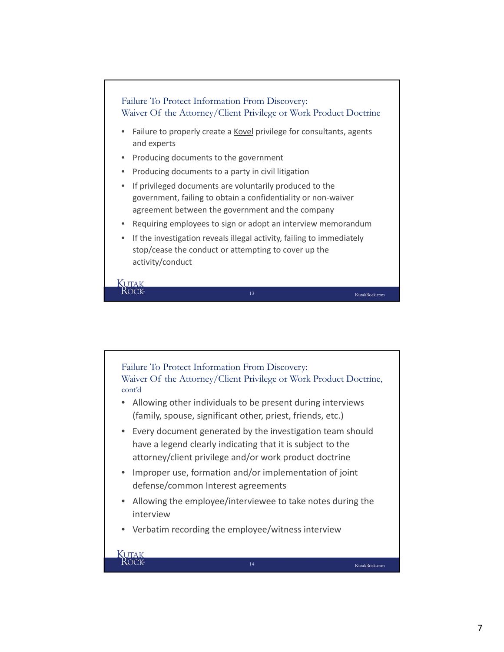

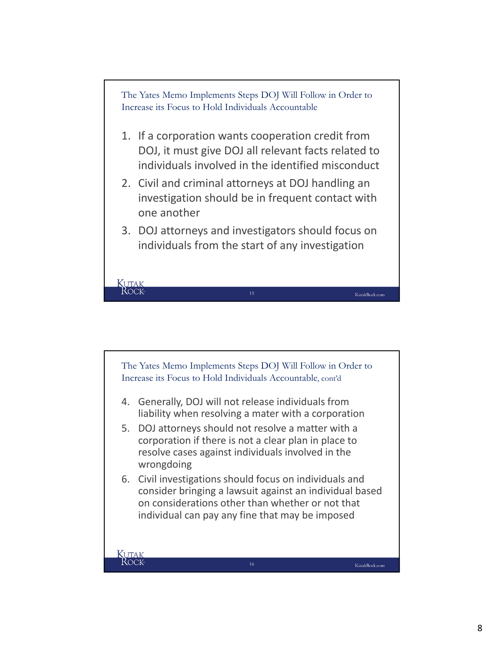

- 1. If a corporation wants cooperation credit from DOJ, it must give DOJ all relevant facts related to individuals involved in the identified misconduct
- 2. Civil and criminal attorneys at DOJ handling an investigation should be in frequent contact with one another
- 3. DOJ attorneys and investigators should focus on individuals from the start of any investigation

KutakRock.com

The Yates Memo Implements Steps DOJ Will Follow in Order to Increase its Focus to Hold Individuals Accountable, cont'd 4. Generally, DOJ will not release individuals from liability when resolving a mater with a corporation 5. DOJ attorneys should not resolve a matter with a corporation if there is not a clear plan in place to resolve cases against individuals involved in the

6. Civil investigations should focus on individuals and consider bringing a lawsuit against an individual based on considerations other than whether or not that individual can pay any fine that may be imposed

wrongdoing

**KUTAK**<br>ROCK